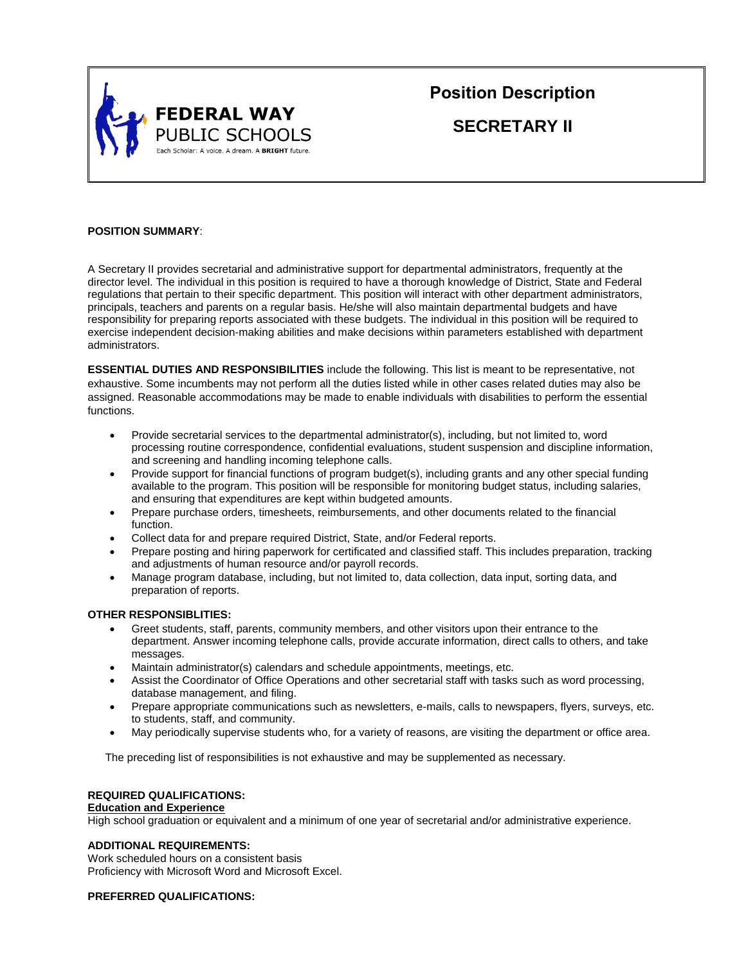

**Position Description**

**SECRETARY II**

# **POSITION SUMMARY**:

A Secretary II provides secretarial and administrative support for departmental administrators, frequently at the director level. The individual in this position is required to have a thorough knowledge of District, State and Federal regulations that pertain to their specific department. This position will interact with other department administrators, principals, teachers and parents on a regular basis. He/she will also maintain departmental budgets and have responsibility for preparing reports associated with these budgets. The individual in this position will be required to exercise independent decision-making abilities and make decisions within parameters established with department administrators.

**ESSENTIAL DUTIES AND RESPONSIBILITIES** include the following. This list is meant to be representative, not exhaustive. Some incumbents may not perform all the duties listed while in other cases related duties may also be assigned. Reasonable accommodations may be made to enable individuals with disabilities to perform the essential functions.

- Provide secretarial services to the departmental administrator(s), including, but not limited to, word processing routine correspondence, confidential evaluations, student suspension and discipline information, and screening and handling incoming telephone calls.
- Provide support for financial functions of program budget(s), including grants and any other special funding available to the program. This position will be responsible for monitoring budget status, including salaries, and ensuring that expenditures are kept within budgeted amounts.
- Prepare purchase orders, timesheets, reimbursements, and other documents related to the financial function.
- Collect data for and prepare required District, State, and/or Federal reports.
- Prepare posting and hiring paperwork for certificated and classified staff. This includes preparation, tracking and adjustments of human resource and/or payroll records.
- Manage program database, including, but not limited to, data collection, data input, sorting data, and preparation of reports.

## **OTHER RESPONSIBLITIES:**

- Greet students, staff, parents, community members, and other visitors upon their entrance to the department. Answer incoming telephone calls, provide accurate information, direct calls to others, and take messages.
- Maintain administrator(s) calendars and schedule appointments, meetings, etc.
- Assist the Coordinator of Office Operations and other secretarial staff with tasks such as word processing, database management, and filing.
- Prepare appropriate communications such as newsletters, e-mails, calls to newspapers, flyers, surveys, etc. to students, staff, and community.
- May periodically supervise students who, for a variety of reasons, are visiting the department or office area.

The preceding list of responsibilities is not exhaustive and may be supplemented as necessary.

## **REQUIRED QUALIFICATIONS:**

### **Education and Experience**

High school graduation or equivalent and a minimum of one year of secretarial and/or administrative experience.

## **ADDITIONAL REQUIREMENTS:**

Work scheduled hours on a consistent basis Proficiency with Microsoft Word and Microsoft Excel.

### **PREFERRED QUALIFICATIONS:**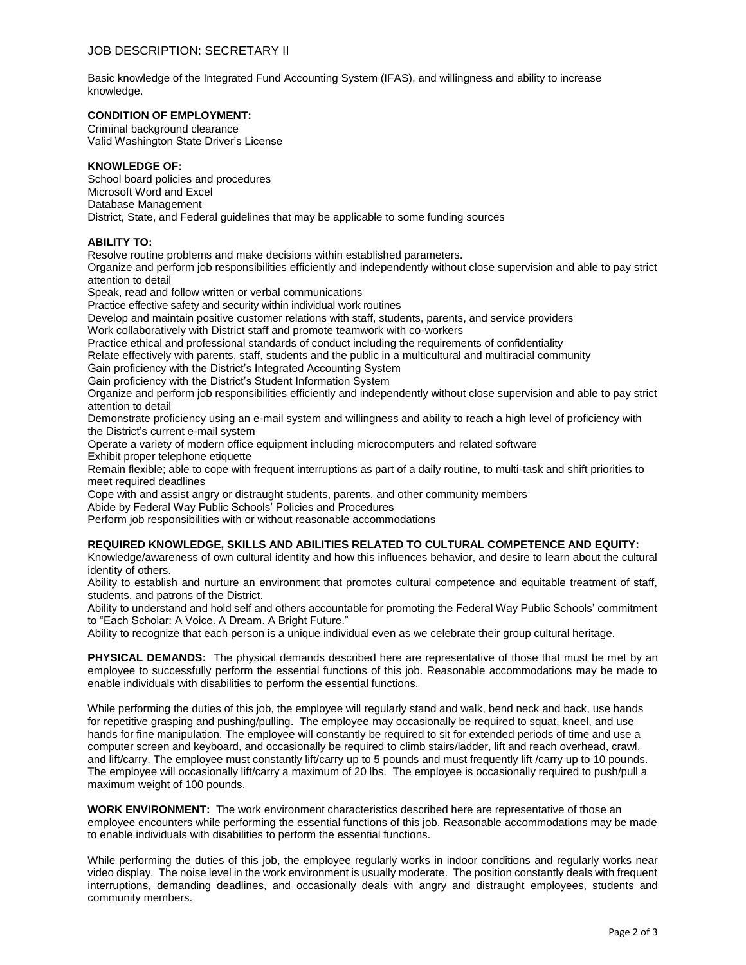Basic knowledge of the Integrated Fund Accounting System (IFAS), and willingness and ability to increase knowledge.

# **CONDITION OF EMPLOYMENT:**

Criminal background clearance Valid Washington State Driver's License

## **KNOWLEDGE OF:**

School board policies and procedures Microsoft Word and Excel Database Management District, State, and Federal guidelines that may be applicable to some funding sources

# **ABILITY TO:**

Resolve routine problems and make decisions within established parameters.

Organize and perform job responsibilities efficiently and independently without close supervision and able to pay strict attention to detail

Speak, read and follow written or verbal communications

Practice effective safety and security within individual work routines

Develop and maintain positive customer relations with staff, students, parents, and service providers

Work collaboratively with District staff and promote teamwork with co-workers

Practice ethical and professional standards of conduct including the requirements of confidentiality

Relate effectively with parents, staff, students and the public in a multicultural and multiracial community

Gain proficiency with the District's Integrated Accounting System

Gain proficiency with the District's Student Information System

Organize and perform job responsibilities efficiently and independently without close supervision and able to pay strict attention to detail

Demonstrate proficiency using an e-mail system and willingness and ability to reach a high level of proficiency with the District's current e-mail system

Operate a variety of modern office equipment including microcomputers and related software

Exhibit proper telephone etiquette

Remain flexible; able to cope with frequent interruptions as part of a daily routine, to multi-task and shift priorities to meet required deadlines

Cope with and assist angry or distraught students, parents, and other community members

Abide by Federal Way Public Schools' Policies and Procedures

Perform job responsibilities with or without reasonable accommodations

# **REQUIRED KNOWLEDGE, SKILLS AND ABILITIES RELATED TO CULTURAL COMPETENCE AND EQUITY:**

Knowledge/awareness of own cultural identity and how this influences behavior, and desire to learn about the cultural identity of others.

Ability to establish and nurture an environment that promotes cultural competence and equitable treatment of staff, students, and patrons of the District.

Ability to understand and hold self and others accountable for promoting the Federal Way Public Schools' commitment to "Each Scholar: A Voice. A Dream. A Bright Future."

Ability to recognize that each person is a unique individual even as we celebrate their group cultural heritage.

**PHYSICAL DEMANDS:** The physical demands described here are representative of those that must be met by an employee to successfully perform the essential functions of this job. Reasonable accommodations may be made to enable individuals with disabilities to perform the essential functions.

While performing the duties of this job, the employee will regularly stand and walk, bend neck and back, use hands for repetitive grasping and pushing/pulling. The employee may occasionally be required to squat, kneel, and use hands for fine manipulation. The employee will constantly be required to sit for extended periods of time and use a computer screen and keyboard, and occasionally be required to climb stairs/ladder, lift and reach overhead, crawl, and lift/carry. The employee must constantly lift/carry up to 5 pounds and must frequently lift /carry up to 10 pounds. The employee will occasionally lift/carry a maximum of 20 lbs. The employee is occasionally required to push/pull a maximum weight of 100 pounds.

**WORK ENVIRONMENT:** The work environment characteristics described here are representative of those an employee encounters while performing the essential functions of this job. Reasonable accommodations may be made to enable individuals with disabilities to perform the essential functions.

While performing the duties of this job, the employee regularly works in indoor conditions and regularly works near video display. The noise level in the work environment is usually moderate. The position constantly deals with frequent interruptions, demanding deadlines, and occasionally deals with angry and distraught employees, students and community members.